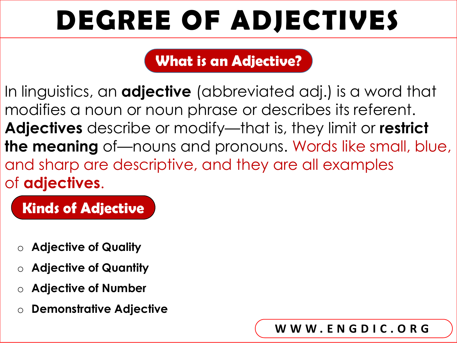## **What is an Adjective?**

In linguistics, an **adjective** (abbreviated adj.) is a word that modifies a noun or noun phrase or describes its referent. **Adjectives** describe or modify—that is, they limit or **restrict the meaning** of—nouns and pronouns. Words like small, blue, and sharp are descriptive, and they are all examples of **adjectives**.

## **Kinds of Adjective**

- o **Adjective of Quality**
- o **Adjective of Quantity**
- o **Adjective of Number**
- o **Demonstrative Adjective**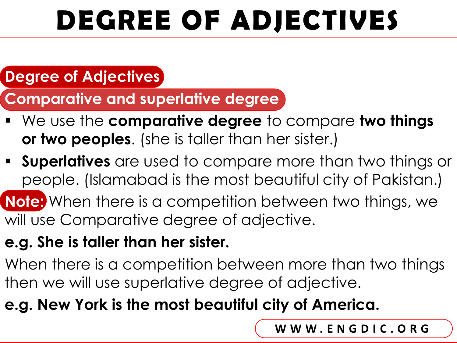### **Degree of Adjectives**

**Comparative and superlative degree**

- We use the **comparative degree** to compare **two things or two peoples**. (she is taller than her sister.)
- **Superlatives** are used to compare more than two things or people. (Islamabad is the most beautiful city of Pakistan.)
- **Note:** When there is a competition between two things, we will use Comparative degree of adjective.

### **e.g. She is taller than her sister.**

When there is a competition between more than two things then we will use superlative degree of adjective.

### **e.g. New York is the most beautiful city of America.**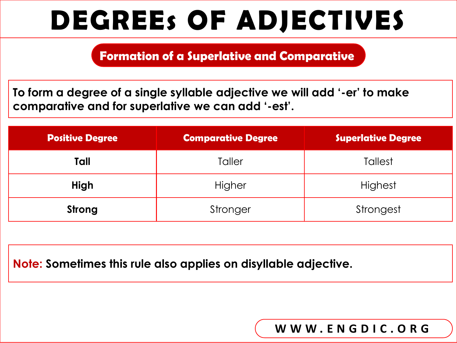**Formation of a Superlative and Comparative**

**To form a degree of a single syllable adjective we will add '-er' to make comparative and for superlative we can add '-est'.**

| <b>Positive Degree</b> | <b>Comparative Degree</b> | <b>Superlative Degree</b> |
|------------------------|---------------------------|---------------------------|
| Tall                   | Taller                    | <b>Tallest</b>            |
| <b>High</b>            | Higher                    | Highest                   |
| Strong                 | Stronger                  | Strongest                 |

**Note: Sometimes this rule also applies on disyllable adjective.**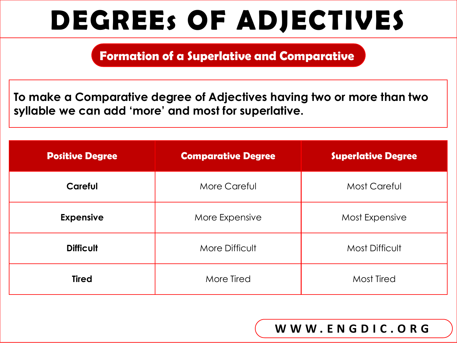**Formation of a Superlative and Comparative**

**To make a Comparative degree of Adjectives having two or more than two syllable we can add 'more' and most for superlative.**

| <b>Positive Degree</b> | <b>Comparative Degree</b> | <b>Superlative Degree</b> |
|------------------------|---------------------------|---------------------------|
| <b>Careful</b>         | More Careful              | <b>Most Careful</b>       |
| <b>Expensive</b>       | More Expensive            | Most Expensive            |
| <b>Difficult</b>       | More Difficult            | <b>Most Difficult</b>     |
| <b>Tired</b>           | More Tired                | Most Tired                |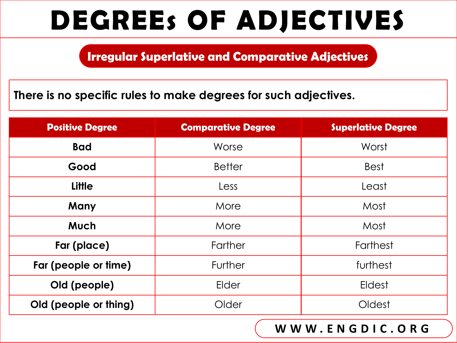**Irregular Superlative and Comparative Adjectives**

**There is no specific rules to make degrees for such adjectives.**

| <b>Positive Degree</b> | <b>Comparative Degree</b> | <b>Superlative Degree</b> |
|------------------------|---------------------------|---------------------------|
| <b>Bad</b>             | Worse                     | Worst                     |
| Good                   | <b>Better</b>             | <b>Best</b>               |
| <b>Little</b>          | Less                      | Least                     |
| Many                   | More                      | Most                      |
| <b>Much</b>            | More                      | Most                      |
| Far (place)            | Farther                   | Farthest                  |
| Far (people or time)   | Further                   | furthest                  |
| Old (people)           | Elder                     | Eldest                    |
| Old (people or thing)  | Older                     | Oldest                    |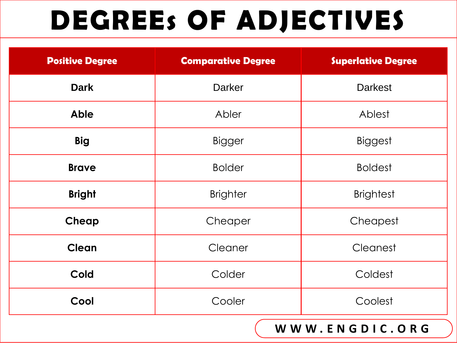| <b>Positive Degree</b> | <b>Comparative Degree</b> | <b>Superlative Degree</b> |
|------------------------|---------------------------|---------------------------|
| <b>Dark</b>            | <b>Darker</b>             | <b>Darkest</b>            |
| <b>Able</b>            | Abler                     | Ablest                    |
| <b>Big</b>             | <b>Bigger</b>             | <b>Biggest</b>            |
| <b>Brave</b>           | <b>Bolder</b>             | <b>Boldest</b>            |
| <b>Bright</b>          | <b>Brighter</b>           | <b>Brightest</b>          |
| Cheap                  | Cheaper                   | Cheapest                  |
| <b>Clean</b>           | Cleaner                   | Cleanest                  |
| <b>Cold</b>            | Colder                    | Coldest                   |
| Cool                   | Cooler                    | Coolest                   |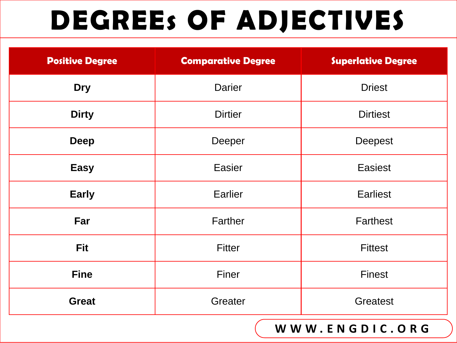| <b>Positive Degree</b> | <b>Comparative Degree</b> | <b>Superlative Degree</b> |
|------------------------|---------------------------|---------------------------|
| <b>Dry</b>             | <b>Darier</b>             | <b>Driest</b>             |
| <b>Dirty</b>           | <b>Dirtier</b>            | <b>Dirtiest</b>           |
| <b>Deep</b>            | Deeper                    | <b>Deepest</b>            |
| <b>Easy</b>            | <b>Easier</b>             | <b>Easiest</b>            |
| <b>Early</b>           | Earlier                   | <b>Earliest</b>           |
| Far                    | Farther                   | <b>Farthest</b>           |
| <b>Fit</b>             | <b>Fitter</b>             | <b>Fittest</b>            |
| <b>Fine</b>            | Finer                     | <b>Finest</b>             |
| <b>Great</b>           | Greater                   | <b>Greatest</b>           |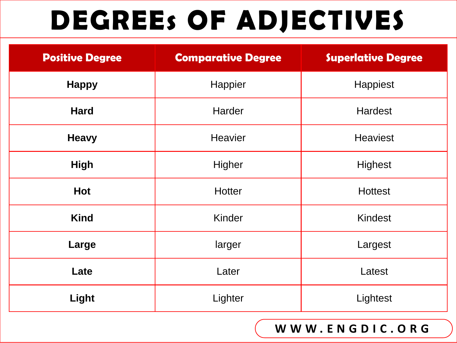| <b>Positive Degree</b> | <b>Comparative Degree</b> | <b>Superlative Degree</b> |
|------------------------|---------------------------|---------------------------|
| <b>Happy</b>           | Happier                   | Happiest                  |
| <b>Hard</b>            | Harder                    | <b>Hardest</b>            |
| <b>Heavy</b>           | <b>Heavier</b>            | <b>Heaviest</b>           |
| <b>High</b>            | Higher                    | Highest                   |
| <b>Hot</b>             | <b>Hotter</b>             | <b>Hottest</b>            |
| <b>Kind</b>            | Kinder                    | <b>Kindest</b>            |
| Large                  | larger                    | Largest                   |
| Late                   | Later                     | Latest                    |
| Light                  | Lighter                   | Lightest                  |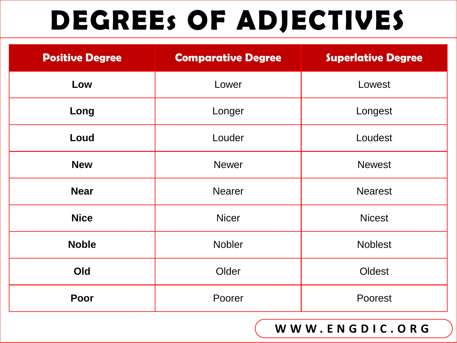| <b>Positive Degree</b> | <b>Comparative Degree</b> | <b>Superlative Degree</b> |
|------------------------|---------------------------|---------------------------|
| Low                    | Lower                     | Lowest                    |
| Long                   | Longer                    | Longest                   |
| Loud                   | Louder                    | Loudest                   |
| <b>New</b>             | <b>Newer</b>              | <b>Newest</b>             |
| <b>Near</b>            | <b>Nearer</b>             | <b>Nearest</b>            |
| <b>Nice</b>            | <b>Nicer</b>              | <b>Nicest</b>             |
| <b>Noble</b>           | <b>Nobler</b>             | <b>Noblest</b>            |
| Old                    | Older                     | Oldest                    |
| Poor                   | Poorer                    | Poorest                   |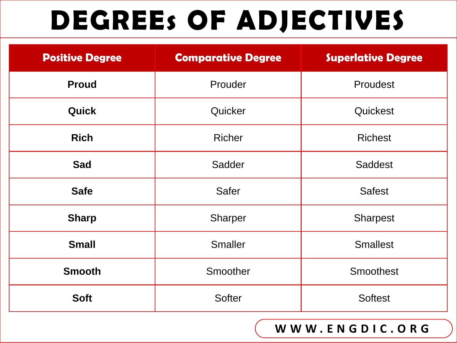| <b>Positive Degree</b> | <b>Comparative Degree</b> | <b>Superlative Degree</b> |
|------------------------|---------------------------|---------------------------|
| <b>Proud</b>           | Prouder                   | Proudest                  |
| <b>Quick</b>           | Quicker                   | Quickest                  |
| <b>Rich</b>            | <b>Richer</b>             | <b>Richest</b>            |
| <b>Sad</b>             | Sadder                    | Saddest                   |
| <b>Safe</b>            | <b>Safer</b>              | <b>Safest</b>             |
| <b>Sharp</b>           | <b>Sharper</b>            | <b>Sharpest</b>           |
| <b>Small</b>           | <b>Smaller</b>            | <b>Smallest</b>           |
| <b>Smooth</b>          | Smoother                  | <b>Smoothest</b>          |
| <b>Soft</b>            | <b>Softer</b>             | <b>Softest</b>            |